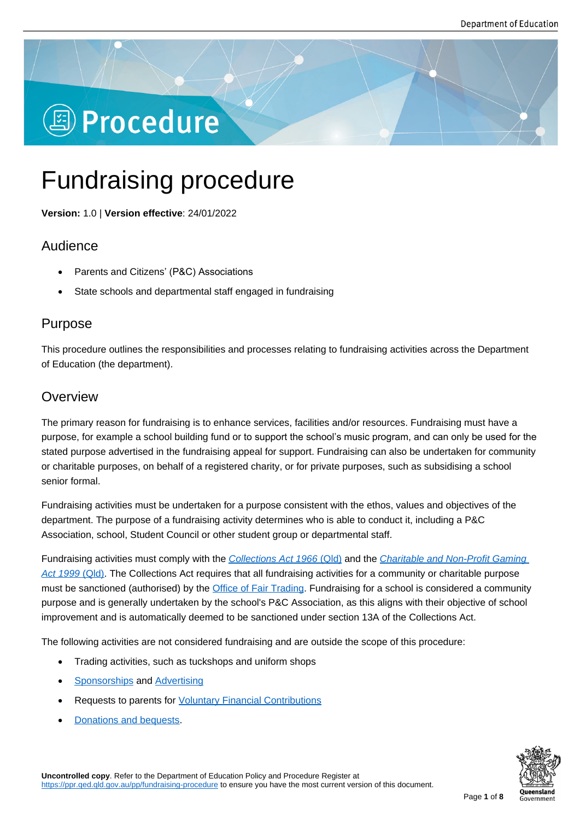# **图 Procedure**

## Fundraising procedure

**Version:** 1.0 | **Version effective**: 24/01/2022

## Audience

- Parents and Citizens' (P&C) Associations
- State schools and departmental staff engaged in fundraising

## Purpose

This procedure outlines the responsibilities and processes relating to fundraising activities across the Department of Education (the department).

## **Overview**

The primary reason for fundraising is to enhance services, facilities and/or resources. Fundraising must have a purpose, for example a school building fund or to support the school's music program, and can only be used for the stated purpose advertised in the fundraising appeal for support. Fundraising can also be undertaken for community or charitable purposes, on behalf of a registered charity, or for private purposes, such as subsidising a school senior formal.

Fundraising activities must be undertaken for a purpose consistent with the ethos, values and objectives of the department. The purpose of a fundraising activity determines who is able to conduct it, including a P&C Association, school, Student Council or other student group or departmental staff.

Fundraising activities must comply with the *Collections Act 1966* (Qld) and the *Charitable and Non-Profit Gaming Act 1999* (Qld). The Collections Act requires that all fundraising activities for a community or charitable purpose must be sanctioned (authorised) by the Office of Fair Trading. Fundraising for a school is considered a community purpose and is generally undertaken by the [school](https://www.legislation.qld.gov.au/view/html/inforce/current/act-1966-007)'[s P&C Association,](https://www.legislation.qld.gov.au/view/html/inforce/current/act-1966-007) as this [aligns with their objective of school](https://www.legislation.qld.gov.au/view/html/inforce/current/act-1999-026)  [improvement a](https://www.legislation.qld.gov.au/view/html/inforce/current/act-1999-026)nd is automatically deemed to be sanctioned under section 13A of the Collections Act.

The following activities are not consider[ed fundraising and are](https://www.qld.gov.au/law/laws-regulated-industries-and-accountability/queensland-laws-and-regulations/associations-charities-and-non-for-profits/charities-and-fundraising/starting-an-appeal-for-fundraising-support) outside the scope of this procedure:

- Trading activities, such as tuckshops and uniform shops
- Sponsorships and Advertising
- Requests to parents for Voluntary Financial Contributions
- [Donations and](https://ppr.qed.qld.gov.au/pp/sponsorship-procedure) be[quests.](https://ppr.qed.qld.gov.au/pp/advertising-procedure#definitions)

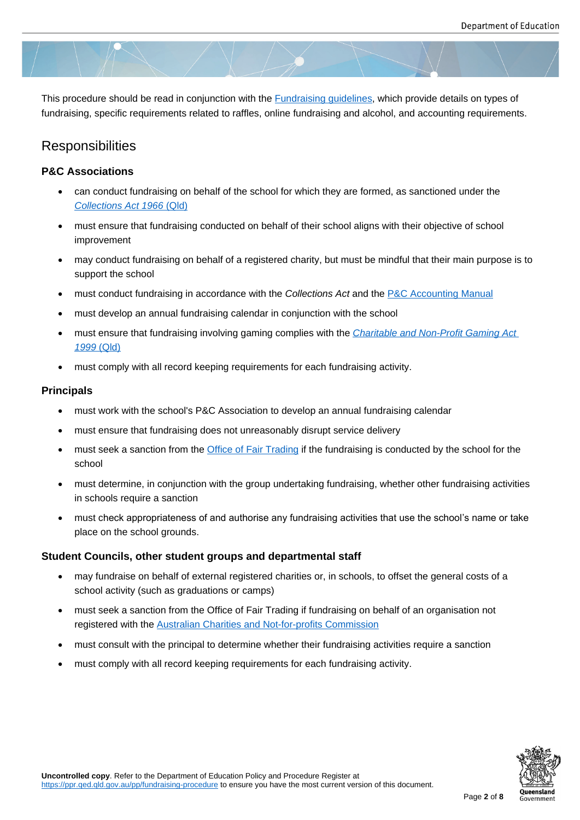This procedure should be read in conjunction with the Fundraising guidelines, which provide details on types of fundraising, specific requirements related to raffles, online fundraising and alcohol, and accounting requirements.

## **Responsibilities**

#### **P&C Associations**

- can conduct fundraising on behalf of the school for which they are formed, as sanctioned under the *Collections Act 1966* (Qld)
- must ensure that fundraising conducted on behalf of their school aligns with their objective of school improvement
- [may conduct fundraising o](https://www.legislation.qld.gov.au/view/html/inforce/current/act-1966-007)n behalf of a registered charity, but must be mindful that their main purpose is to support the school
- must conduct fundraising in accordance with the *Collections Act* and the P&C Accounting Manual
- must develop an annual fundraising calendar in conjunction with the school
- must ensure that fundraising involving gaming complies with the *Charita[ble and Non-Profit Gamin](https://education.qld.gov.au/parents-and-carers/parent-participation/p-and-c/accounting-manual)g Act 1999* (Qld)
- must comply with all record keeping requirements for each fundraising activity.

#### **Princi[pals](https://www.legislation.qld.gov.au/view/html/inforce/current/act-1999-026)**

- must work with the school's P&C Association to develop an annual fundraising calendar
- must ensure that fundraising does not unreasonably disrupt service delivery
- must seek a sanction from the *Office of Fair Trading* if the fundraising is conducted by the school for the school
- must determine, in conjunction with the group undertaking fundraising, whether other fundraising activities in schools require a sanction
- must check appropriateness of and authorise any fundraising activities that use the school's name or take place on the school grounds.

#### **Student Councils, other student groups and departmental staff**

- may fundraise on behalf of external registered charities or, in schools, to offset the general costs of a school activity (such as graduations or camps)
- must seek a sanction from the Office of Fair Trading if fundraising on behalf of an organisation not registered with the Australian Charities and Not-for-profits Commission
- must consult with the principal to determine whether their fundraising activities require a sanction
- must comply with [all record keeping requirements for each fundraising](https://www.acnc.gov.au) activity.

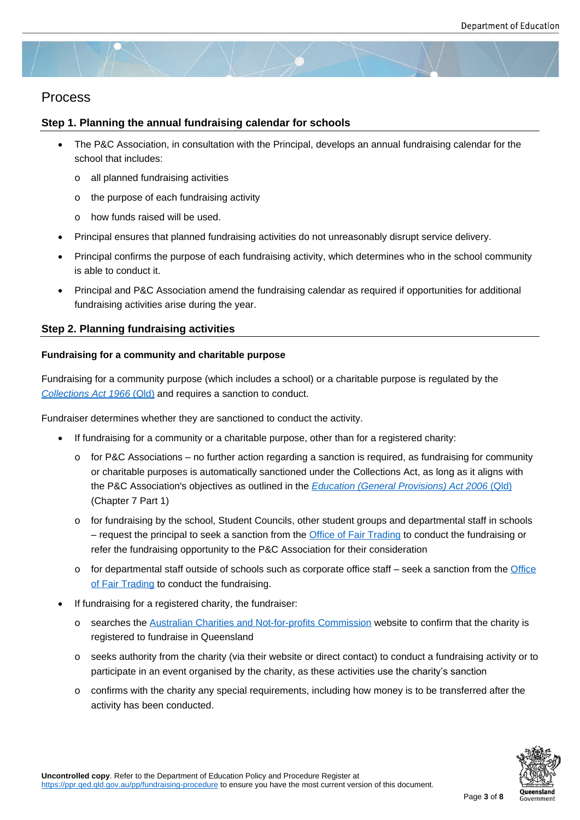### Process

#### **Step 1. Planning the annual fundraising calendar for schools**

- The P&C Association, in consultation with the Principal, develops an annual fundraising calendar for the school that includes:
	- o all planned fundraising activities
	- o the purpose of each fundraising activity
	- o how funds raised will be used.
- Principal ensures that planned fundraising activities do not unreasonably disrupt service delivery.
- Principal confirms the purpose of each fundraising activity, which determines who in the school community is able to conduct it.
- Principal and P&C Association amend the fundraising calendar as required if opportunities for additional fundraising activities arise during the year.

#### **Step 2. Planning fundraising activities**

#### **Fundraising for a community and charitable purpose**

Fundraising for a community purpose (which includes a school) or a charitable purpose is regulated by the *Collections Act 1966* (Qld) and requires a sanction to conduct.

Fundraiser determines whether they are sanctioned to conduct the activity.

- [If fundraising for a](https://www.legislation.qld.gov.au/view/html/inforce/current/act-1966-007) community or a charitable purpose, other than for a registered charity:
	- $\circ$  for P&C Associations no further action regarding a sanction is required, as fundraising for community or charitable purposes is automatically sanctioned under the Collections Act, as long as it aligns with the P&C Association's objectives as outlined in the *Education (General Provisions) Act 2006* (Qld) (Chapter 7 Part 1)
	- o for fundraising by the school, Student Councils, other student groups and departmental staff in schools – request the principal to seek a sanction from the [Office of Fair Trading to conduct the fundraising](https://www.legislation.qld.gov.au/view/html/inforce/current/act-2006-039) or refer the fundraising opportunity to the P&C Association for their consideration
	- $\circ$  for departmental staff outside of schools such as corporate office staff seek a sanction from the Office of Fair Trading to conduct the fundraising.
- If fundraising for a registered charity, the fundraiser:
	- o searches the Australian Charities and Not-for-profits Commission website to confirm that the char[ity is](https://www.qld.gov.au/law/laws-regulated-industries-and-accountability/queensland-laws-and-regulations/associations-charities-and-non-for-profits/charities-and-fundraising/starting-an-appeal-for-fundraising-support)  [registered to fu](https://www.qld.gov.au/law/laws-regulated-industries-and-accountability/queensland-laws-and-regulations/associations-charities-and-non-for-profits/charities-and-fundraising/starting-an-appeal-for-fundraising-support)ndraise in Queensland
	- $\circ$  seeks authority from the charity (via their website or direct contact) to conduct a fundraising activity or to participate in [an event organised by the charity,](https://www.acnc.gov.au) as these activities use the charity's sanction
	- $\circ$  confirms with the charity any special requirements, including how money is to be transferred after the activity has been conducted.

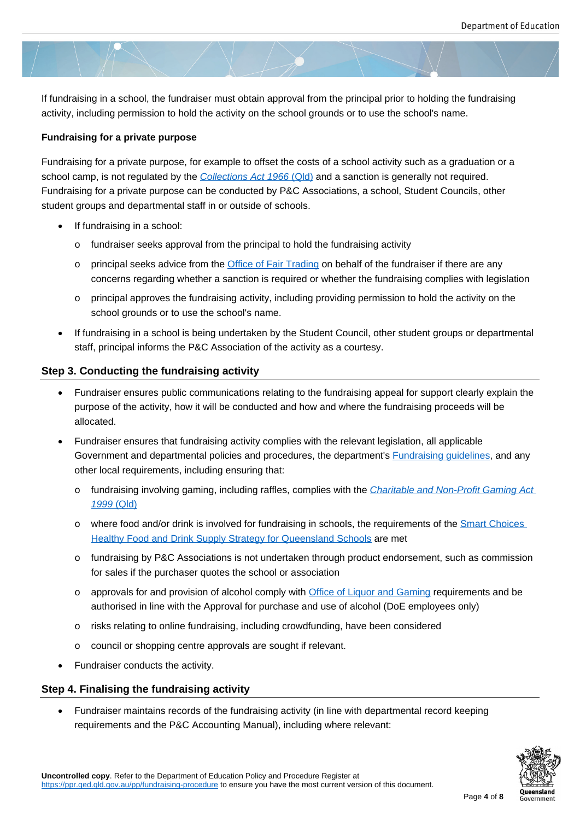If fundraising in a school, the fundraiser must obtain approval from the principal prior to holding the fundraising activity, including permission to hold the activity on the school grounds or to use the school's name.

#### **Fundraising for a private purpose**

Fundraising for a private purpose, for example to offset the costs of a school activity such as a graduation or a school camp, is not regulated by the *Collections Act 1966* (Qld) and a sanction is generally not required. Fundraising for a private purpose can be conducted by P&C Associations, a school, Student Councils, other student groups and departmental staff in or outside of schools.

- If fundraising in a school:
	- o fundraiser seeks approval from the principal to hold the fundraising activity
	- o principal seeks advice from the Office of Fair Trading on behalf of the fundraiser if there are any concerns regarding whether a sanction is required or whether the fundraising complies with legislation
	- $\circ$  principal approves the fundraising activity, including providing permission to hold the activity on the school grounds or to use the sc[hool's name.](https://www.qld.gov.au/law/laws-regulated-industries-and-accountability/queensland-laws-and-regulations/associations-charities-and-non-for-profits/charities-and-fundraising/starting-an-appeal-for-fundraising-support)
- If fundraising in a school is being undertaken by the Student Council, other student groups or departmental staff, principal informs the P&C Association of the activity as a courtesy.

#### **Step 3. Conducting the fundraising activity**

- Fundraiser ensures public communications relating to the fundraising appeal for support clearly explain the purpose of the activity, how it will be conducted and how and where the fundraising proceeds will be allocated.
- Fundraiser ensures that fundraising activity complies with the relevant legislation, all applicable Government and departmental policies and procedures, the department's **Fundraising guidelines**, and any other local requirements, including ensuring that:
	- o fundraising involving gaming, including raffles, complies with the *Charitable and Non-Profit Gaming Act 1999* (Qld)
	- o where food and/or drink is involved for fundraising in schools, the requirements of the Smart Choices Healthy Food and Drink Supply Strategy for Queensland School[s are met](https://www.legislation.qld.gov.au/view/html/inforce/current/act-1999-026)
	- o [fundraising](https://www.legislation.qld.gov.au/view/html/inforce/current/act-1999-026) by P&C Associations is not undertaken through product endorsement, such as commission for sales if the purchaser quotes the school or association
	- o [approvals for and provision of alcohol comply with Office of Liquo](https://education.qld.gov.au/students/student-health-safety-wellbeing/student-health/smart-choices)r and Gaming requirements and be authorised in line with the Approval for purchase and use of alcohol (DoE employees only)
	- o risks relating to online fundraising, including crowdfunding, have been considered
	- o council or shopping centre approvals are sought if [relevant.](https://www.business.qld.gov.au/industries/hospitality-tourism-sport/liquor-gaming/liquor/licensing/applications/permits)
- Fundraiser conducts the activity.

#### **Step 4. Finalising the fundraising activity**

 Fundraiser maintains records of the fundraising activity (in line with departmental record keeping requirements and the P&C Accounting Manual), including where relevant:

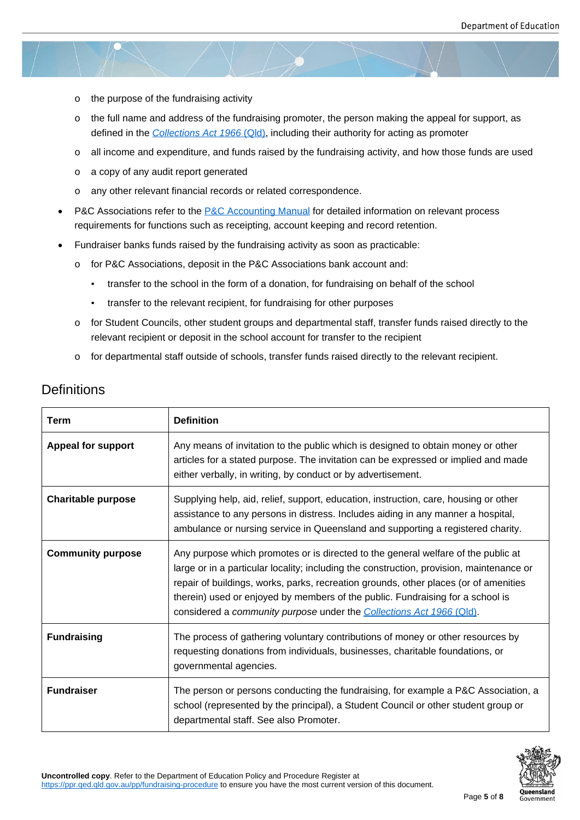- o the purpose of the fundraising activity
- o the full name and address of the fundraising promoter, the person making the appeal for support, as defined in the *Collections Act 1966* (Qld), including their authority for acting as promoter
- o all income and expenditure, and funds raised by the fundraising activity, and how those funds are used
- o a copy of any [audit report generated](https://www.legislation.qld.gov.au/view/html/inforce/current/act-1966-007)
- o any other relevant financial records or related correspondence.
- P&C Associations refer to the P&C Accounting Manual for detailed information on relevant process requirements for functions such as receipting, account keeping and record retention.
- Fundraiser banks funds raised by the fundraising activity as soon as practicable:
	- o for P&C Associations, dep[osit in the P&C Associati](https://education.qld.gov.au/parents-and-carers/parent-participation/p-and-c/accounting-manual)ons bank account and:
		- transfer to the school in the form of a donation, for fundraising on behalf of the school
		- transfer to the relevant recipient, for fundraising for other purposes
	- o for Student Councils, other student groups and departmental staff, transfer funds raised directly to the relevant recipient or deposit in the school account for transfer to the recipient
	- $\circ$  for departmental staff outside of schools, transfer funds raised directly to the relevant recipient.

## **Definitions**

| <b>Term</b>               | <b>Definition</b>                                                                                                                                                                                                                                                                                                                                                                                                               |
|---------------------------|---------------------------------------------------------------------------------------------------------------------------------------------------------------------------------------------------------------------------------------------------------------------------------------------------------------------------------------------------------------------------------------------------------------------------------|
| Appeal for support        | Any means of invitation to the public which is designed to obtain money or other<br>articles for a stated purpose. The invitation can be expressed or implied and made<br>either verbally, in writing, by conduct or by advertisement.                                                                                                                                                                                          |
| <b>Charitable purpose</b> | Supplying help, aid, relief, support, education, instruction, care, housing or other<br>assistance to any persons in distress. Includes aiding in any manner a hospital,<br>ambulance or nursing service in Queensland and supporting a registered charity.                                                                                                                                                                     |
| <b>Community purpose</b>  | Any purpose which promotes or is directed to the general welfare of the public at<br>large or in a particular locality; including the construction, provision, maintenance or<br>repair of buildings, works, parks, recreation grounds, other places (or of amenities<br>therein) used or enjoyed by members of the public. Fundraising for a school is<br>considered a community purpose under the Collections Act 1966 (Qld). |
| <b>Fundraising</b>        | The process of gathering voluntary contributions of money or other resources by<br>requesting donations from individuals, businesses, charitable foundations, or<br>governmental agencies.                                                                                                                                                                                                                                      |
| <b>Fundraiser</b>         | The person or persons conducting the fundraising, for example a P&C Association, a<br>school (represented by the principal), a Student Council or other student group or<br>departmental staff. See also Promoter.                                                                                                                                                                                                              |

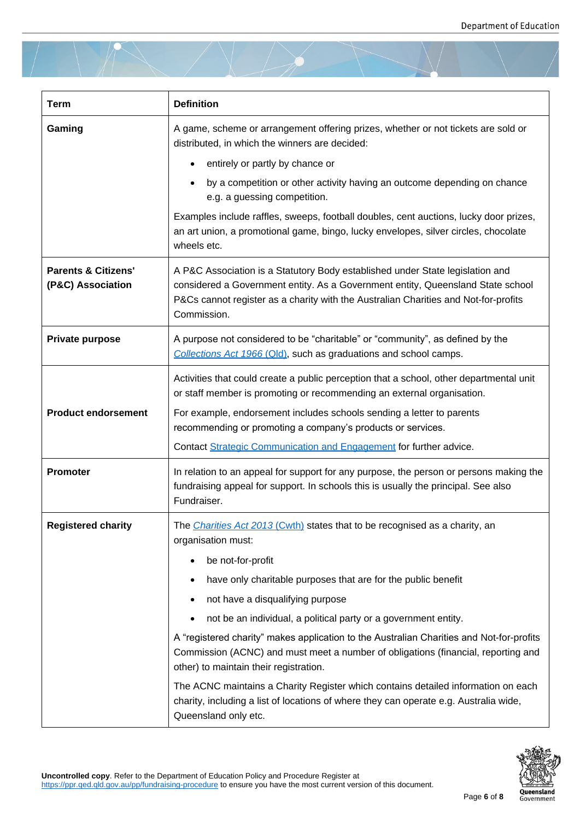| <b>Term</b>                                         | <b>Definition</b>                                                                                                                                                                                                                                                      |
|-----------------------------------------------------|------------------------------------------------------------------------------------------------------------------------------------------------------------------------------------------------------------------------------------------------------------------------|
| Gaming                                              | A game, scheme or arrangement offering prizes, whether or not tickets are sold or<br>distributed, in which the winners are decided:                                                                                                                                    |
|                                                     | entirely or partly by chance or                                                                                                                                                                                                                                        |
|                                                     | by a competition or other activity having an outcome depending on chance<br>e.g. a guessing competition.                                                                                                                                                               |
|                                                     | Examples include raffles, sweeps, football doubles, cent auctions, lucky door prizes,<br>an art union, a promotional game, bingo, lucky envelopes, silver circles, chocolate<br>wheels etc.                                                                            |
| <b>Parents &amp; Citizens'</b><br>(P&C) Association | A P&C Association is a Statutory Body established under State legislation and<br>considered a Government entity. As a Government entity, Queensland State school<br>P&Cs cannot register as a charity with the Australian Charities and Not-for-profits<br>Commission. |
| Private purpose                                     | A purpose not considered to be "charitable" or "community", as defined by the<br>Collections Act 1966 (Qld), such as graduations and school camps.                                                                                                                     |
|                                                     | Activities that could create a public perception that a school, other departmental unit<br>or staff member is promoting or recommending an external organisation.                                                                                                      |
| <b>Product endorsement</b>                          | For example, endorsement includes schools sending a letter to parents<br>recommending or promoting a company's products or services.                                                                                                                                   |
|                                                     | Contact Strategic Communication and Engagement for further advice.                                                                                                                                                                                                     |
| <b>Promoter</b>                                     | In relation to an appeal for support for any purpose, the person or persons making the<br>fundraising appeal for support. In schools this is usually the principal. See also<br>Fundraiser.                                                                            |
| <b>Registered charity</b>                           | The <i>Charities Act 2013</i> (Cwth) states that to be recognised as a charity, an<br>organisation must:                                                                                                                                                               |
|                                                     | be not-for-profit                                                                                                                                                                                                                                                      |
|                                                     | have only charitable purposes that are for the public benefit                                                                                                                                                                                                          |
|                                                     | not have a disqualifying purpose                                                                                                                                                                                                                                       |
|                                                     | not be an individual, a political party or a government entity.                                                                                                                                                                                                        |
|                                                     | A "registered charity" makes application to the Australian Charities and Not-for-profits<br>Commission (ACNC) and must meet a number of obligations (financial, reporting and<br>other) to maintain their registration.                                                |
|                                                     | The ACNC maintains a Charity Register which contains detailed information on each<br>charity, including a list of locations of where they can operate e.g. Australia wide,<br>Queensland only etc.                                                                     |

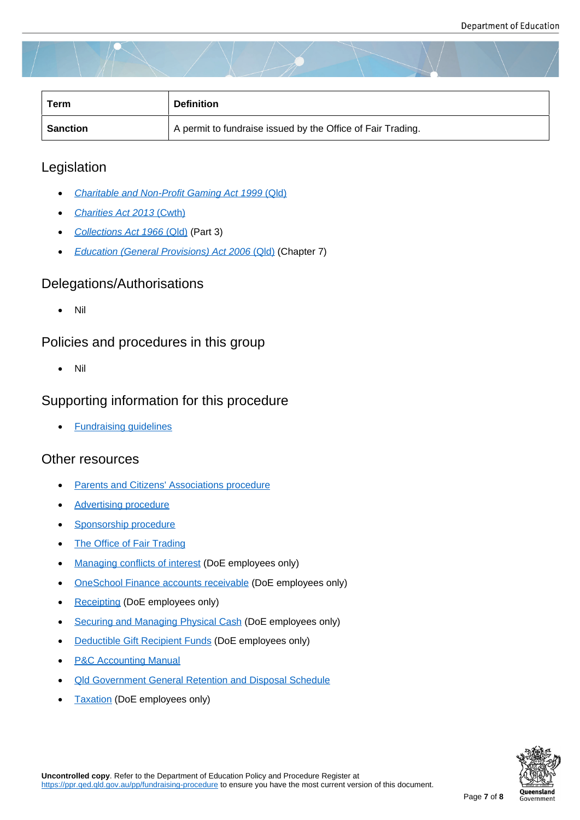| Term     | <b>Definition</b>                                           |
|----------|-------------------------------------------------------------|
| Sanction | A permit to fundraise issued by the Office of Fair Trading. |

## Legislation

- *Charitable and Non-Profit Gaming Act 1999* (Qld)
- *Charities Act 2013* (Cwth)
- *[Collections Act 1966](https://www.legislation.qld.gov.au/view/html/inforce/current/act-1999-026)* (Qld) (Part 3)
- *[Education \(General Provis](https://www.legislation.gov.au/Details/C2013A00100)ions) Act 2006* (Qld) (Chapter 7)

## Dele[gations/Authorisatio](https://www.legislation.qld.gov.au/view/html/inforce/current/act-1966-007)ns

Nil

## Policies and procedures in this group

Nil

## Supporting information for this procedure

• Fundraising quidelines

## Other resources

- Parents and Citizens' Associations procedure
- Advertising procedure
- [Sponsorship procedure](https://ppr.qed.qld.gov.au/pp/parents-and-citizens-associations-procedure)
- [The Office of Fair Trad](https://ppr.qed.qld.gov.au/pp/advertising-procedure)ing
- [Managing conflicts of in](https://ppr.qed.qld.gov.au/pp/sponsorship-procedure)terest (DoE employees only)
- [OneSchool Finance accou](https://www.qld.gov.au/law/laws-regulated-industries-and-accountability/queensland-laws-and-regulations/associations-charities-and-non-for-profits/charities-and-fundraising)nts receivable (DoE employees only)
- [Receipting \(DoE employees o](https://intranet.qed.qld.gov.au/Services/strategymanagement/integrity-employee-relations/InfoFlyers/Pages/ManagingConflictsofInterest.aspx)nly)
- [Securing and Managing Physical Cash \(D](https://oneschoolhelp.eq.edu.au/finance/accounts-receivable-income-manager)oE employees only)
- [Deductible](https://intranet.qed.qld.gov.au/services/finance/revenue/receipting) Gift Recipient Funds (DoE employees only)
- **[P&C Accounting Manual](https://intranet.qed.qld.gov.au/Services/Finance/internal-controls/Pages/securing-managing-physical-cash.aspx)**
- [Qld Government General Reten](https://intranet.qed.qld.gov.au/Services/Finance/Taxation/deductible-gift-recipient-funds/Pages/default.aspx)tion and Disposal Schedule
- [Taxation \(DoE employee](https://education.qld.gov.au/parents-and-carers/parent-participation/p-and-c/accounting-manual)s only)